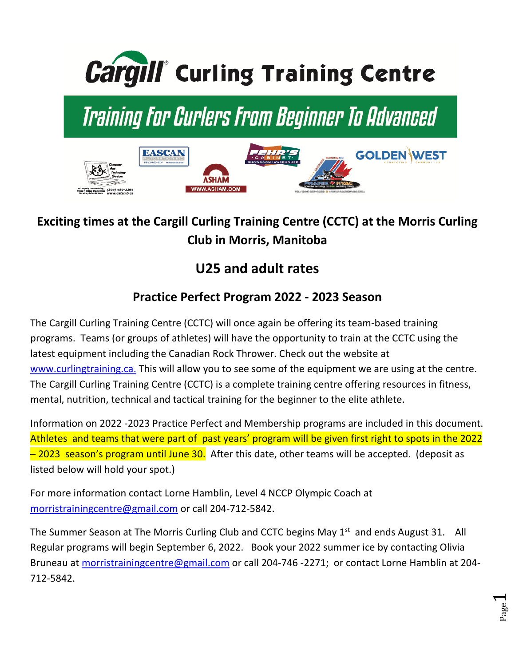

# Training For Curlers From Beginner To Advanced



### **Exciting times at the Cargill Curling Training Centre (CCTC) at the Morris Curling Club in Morris, Manitoba**

## **U25 and adult rates**

#### **Practice Perfect Program 2022 - 2023 Season**

The Cargill Curling Training Centre (CCTC) will once again be offering its team-based training programs. Teams (or groups of athletes) will have the opportunity to train at the CCTC using the latest equipment including the Canadian Rock Thrower. Check out the website at www.curlingtraining.ca. This will allow you to see some of the equipment we are using at the centre. The Cargill Curling Training Centre (CCTC) is a complete training centre offering resources in fitness, mental, nutrition, technical and tactical training for the beginner to the elite athlete.

Information on 2022 -2023 Practice Perfect and Membership programs are included in this document. Athletes and teams that were part of past years' program will be given first right to spots in the 2022  $-$  2023 season's program until June 30. After this date, other teams will be accepted. (deposit as listed below will hold your spot.)

For more information contact Lorne Hamblin, Level 4 NCCP Olympic Coach at morristrainingcentre@gmail.com or call 204-712-5842.

The Summer Season at The Morris Curling Club and CCTC begins May 1<sup>st</sup> and ends August 31. All Regular programs will begin September 6, 2022. Book your 2022 summer ice by contacting Olivia Bruneau at morristrainingcentre@gmail.com or call 204-746 -2271; or contact Lorne Hamblin at 204-712-5842.